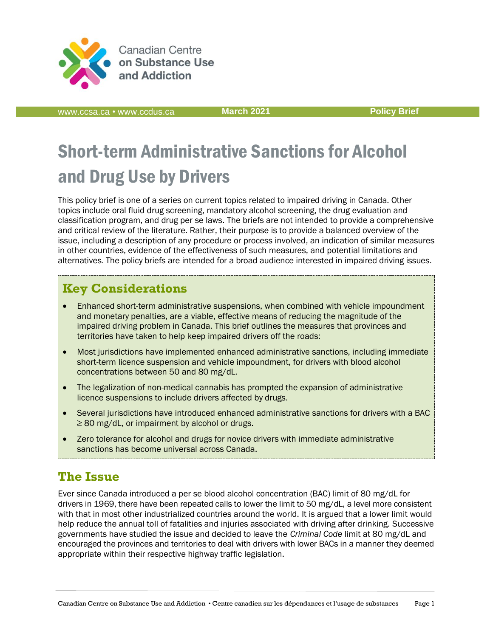

**Canadian Centre** on Substance Use and Addiction

[www.ccsa.ca](http://www.ccsa.ca/) • www.ccdus.ca **March 2021 [Policy](http://www.ccsa.ca/) Brief**

# Short-term Administrative Sanctions for Alcohol and Drug Use by Drivers

This policy brief is one of a series on current topics related to impaired driving in Canada. Other topics include oral fluid drug screening, mandatory alcohol screening, the drug evaluation and classification program, and drug per se laws. The briefs are not intended to provide a comprehensive and critical review of the literature. Rather, their purpose is to provide a balanced overview of the issue, including a description of any procedure or process involved, an indication of similar measures in other countries, evidence of the effectiveness of such measures, and potential limitations and alternatives. The policy briefs are intended for a broad audience interested in impaired driving issues.

### **Key Considerations**

- Enhanced short-term administrative suspensions, when combined with vehicle impoundment and monetary penalties, are a viable, effective means of reducing the magnitude of the impaired driving problem in Canada. This brief outlines the measures that provinces and territories have taken to help keep impaired drivers off the roads:
- Most jurisdictions have implemented enhanced administrative sanctions, including immediate short-term licence suspension and vehicle impoundment, for drivers with blood alcohol concentrations between 50 and 80 mg/dL.
- The legalization of non-medical cannabis has prompted the expansion of administrative licence suspensions to include drivers affected by drugs.
- Several jurisdictions have introduced enhanced administrative sanctions for drivers with a BAC ≥ 80 mg/dL, or impairment by alcohol or drugs.
- Zero tolerance for alcohol and drugs for novice drivers with immediate administrative sanctions has become universal across Canada.

### **The Issue**

Ever since Canada introduced a per se blood alcohol concentration (BAC) limit of 80 mg/dL for drivers in 1969, there have been repeated calls to lower the limit to 50 mg/dL, a level more consistent with that in most other industrialized countries around the world. It is argued that a lower limit would help reduce the annual toll of fatalities and injuries associated with driving after drinking. Successive governments have studied the issue and decided to leave the *Criminal Code* limit at 80 mg/dL and encouraged the provinces and territories to deal with drivers with lower BACs in a manner they deemed appropriate within their respective highway traffic legislation.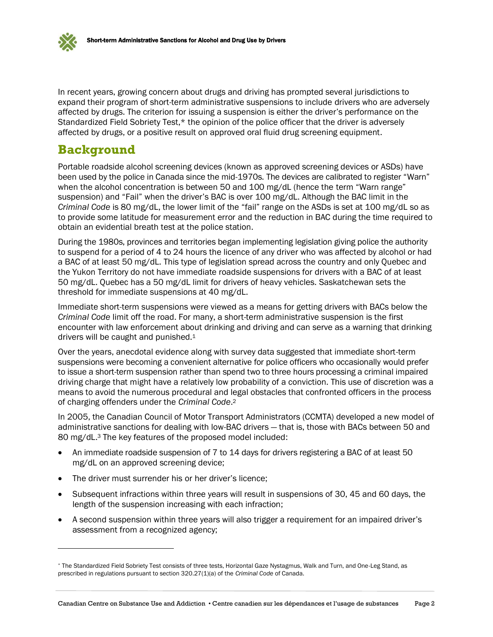

In recent years, growing concern about drugs and driving has prompted several jurisdictions to expand their program of short-term administrative suspensions to include drivers who are adversely affected by drugs. The criterion for issuing a suspension is either the driver's performance on the Standardized Field Sobriety Test,\* the opinion of the police officer that the driver is adversely affected by drugs, or a positive result on approved oral fluid drug screening equipment.

### **Background**

Portable roadside alcohol screening devices (known as approved screening devices or ASDs) have been used by the police in Canada since the mid-1970s. The devices are calibrated to register "Warn" when the alcohol concentration is between 50 and 100 mg/dL (hence the term "Warn range" suspension) and "Fail" when the driver's BAC is over 100 mg/dL. Although the BAC limit in the *Criminal Code* is 80 mg/dL, the lower limit of the "fail" range on the ASDs is set at 100 mg/dL so as to provide some latitude for measurement error and the reduction in BAC during the time required to obtain an evidential breath test at the police station.

During the 1980s, provinces and territories began implementing legislation giving police the authority to suspend for a period of 4 to 24 hours the licence of any driver who was affected by alcohol or had a BAC of at least 50 mg/dL. This type of legislation spread across the country and only Quebec and the Yukon Territory do not have immediate roadside suspensions for drivers with a BAC of at least 50 mg/dL. Quebec has a 50 mg/dL limit for drivers of heavy vehicles. Saskatchewan sets the threshold for immediate suspensions at 40 mg/dL.

Immediate short-term suspensions were viewed as a means for getting drivers with BACs below the *Criminal Code* limit off the road. For many, a short-term administrative suspension is the first encounter with law enforcement about drinking and driving and can serve as a warning that drinking drivers will be caught and punished.<sup>1</sup>

Over the years, anecdotal evidence along with survey data suggested that immediate short-term suspensions were becoming a convenient alternative for police officers who occasionally would prefer to issue a short-term suspension rather than spend two to three hours processing a criminal impaired driving charge that might have a relatively low probability of a conviction. This use of discretion was a means to avoid the numerous procedural and legal obstacles that confronted officers in the process of charging offenders under the *Criminal Code*. 2

In 2005, the Canadian Council of Motor Transport Administrators (CCMTA) developed a new model of administrative sanctions for dealing with low-BAC drivers — that is, those with BACs between 50 and 80 mg/dL.<sup>3</sup> The key features of the proposed model included:

- An immediate roadside suspension of 7 to 14 days for drivers registering a BAC of at least 50 mg/dL on an approved screening device;
- The driver must surrender his or her driver's licence;
- Subsequent infractions within three years will result in suspensions of 30, 45 and 60 days, the length of the suspension increasing with each infraction;
- A second suspension within three years will also trigger a requirement for an impaired driver's assessment from a recognized agency;

<sup>\*</sup> The Standardized Field Sobriety Test consists of three tests, Horizontal Gaze Nystagmus, Walk and Turn, and One-Leg Stand, as prescribed in regulations pursuant to section 320.27(1)(a) of the *Criminal Code* of Canada.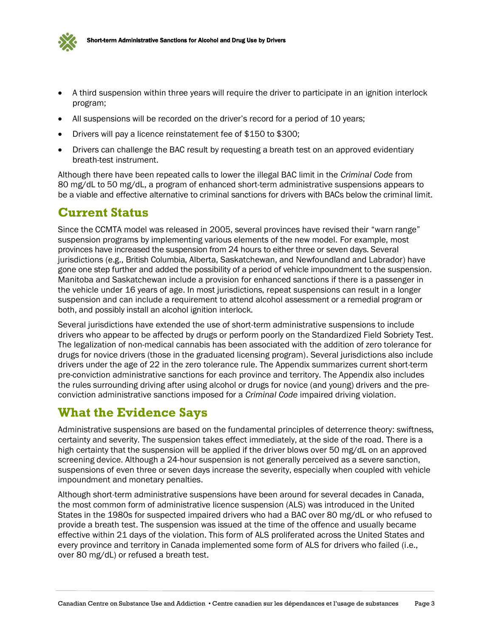

- A third suspension within three years will require the driver to participate in an ignition interlock program;
- All suspensions will be recorded on the driver's record for a period of 10 years;
- Drivers will pay a licence reinstatement fee of \$150 to \$300;
- Drivers can challenge the BAC result by requesting a breath test on an approved evidentiary breath-test instrument.

Although there have been repeated calls to lower the illegal BAC limit in the *Criminal Code* from 80 mg/dL to 50 mg/dL, a program of enhanced short-term administrative suspensions appears to be a viable and effective alternative to criminal sanctions for drivers with BACs below the criminal limit.

### **Current Status**

Since the CCMTA model was released in 2005, several provinces have revised their "warn range" suspension programs by implementing various elements of the new model. For example, most provinces have increased the suspension from 24 hours to either three or seven days. Several jurisdictions (e.g., British Columbia, Alberta, Saskatchewan, and Newfoundland and Labrador) have gone one step further and added the possibility of a period of vehicle impoundment to the suspension. Manitoba and Saskatchewan include a provision for enhanced sanctions if there is a passenger in the vehicle under 16 years of age. In most jurisdictions, repeat suspensions can result in a longer suspension and can include a requirement to attend alcohol assessment or a remedial program or both, and possibly install an alcohol ignition interlock.

Several jurisdictions have extended the use of short-term administrative suspensions to include drivers who appear to be affected by drugs or perform poorly on the Standardized Field Sobriety Test. The legalization of non-medical cannabis has been associated with the addition of zero tolerance for drugs for novice drivers (those in the graduated licensing program). Several jurisdictions also include drivers under the age of 22 in the zero tolerance rule. The Appendix summarizes current short-term pre-conviction administrative sanctions for each province and territory. The Appendix also includes the rules surrounding driving after using alcohol or drugs for novice (and young) drivers and the preconviction administrative sanctions imposed for a *Criminal Code* impaired driving violation.

### **What the Evidence Says**

Administrative suspensions are based on the fundamental principles of deterrence theory: swiftness, certainty and severity. The suspension takes effect immediately, at the side of the road. There is a high certainty that the suspension will be applied if the driver blows over 50 mg/dL on an approved screening device. Although a 24-hour suspension is not generally perceived as a severe sanction, suspensions of even three or seven days increase the severity, especially when coupled with vehicle impoundment and monetary penalties.

Although short-term administrative suspensions have been around for several decades in Canada, the most common form of administrative licence suspension (ALS) was introduced in the United States in the 1980s for suspected impaired drivers who had a BAC over 80 mg/dL or who refused to provide a breath test. The suspension was issued at the time of the offence and usually became effective within 21 days of the violation. This form of ALS proliferated across the United States and every province and territory in Canada implemented some form of ALS for drivers who failed (i.e., over 80 mg/dL) or refused a breath test.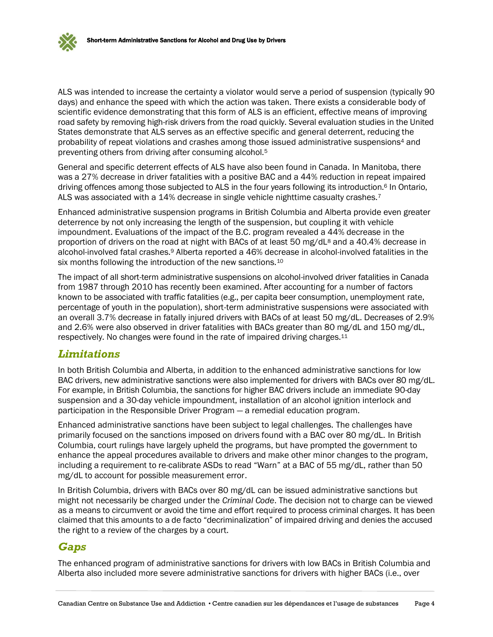ALS was intended to increase the certainty a violator would serve a period of suspension (typically 90 days) and enhance the speed with which the action was taken. There exists a considerable body of scientific evidence demonstrating that this form of ALS is an efficient, effective means of improving road safety by removing high-risk drivers from the road quickly. Several evaluation studies in the United States demonstrate that ALS serves as an effective specific and general deterrent, reducing the probability of repeat violations and crashes among those issued administrative suspensions<sup>4</sup> and preventing others from driving after consuming alcohol.<sup>5</sup>

General and specific deterrent effects of ALS have also been found in Canada. In Manitoba, there was a 27% decrease in driver fatalities with a positive BAC and a 44% reduction in repeat impaired driving offences among those subjected to ALS in the four years following its introduction.<sup>6</sup> In Ontario, ALS was associated with a 14% decrease in single vehicle nighttime casualty crashes.<sup>7</sup>

Enhanced administrative suspension programs in British Columbia and Alberta provide even greater deterrence by not only increasing the length of the suspension, but coupling it with vehicle impoundment. Evaluations of the impact of the B.C. program revealed a 44% decrease in the proportion of drivers on the road at night with BACs of at least 50 mg/dL<sup>8</sup> and a 40.4% decrease in alcohol-involved fatal crashes.<sup>9</sup> Alberta reported a 46% decrease in alcohol-involved fatalities in the six months following the introduction of the new sanctions.<sup>10</sup>

The impact of all short-term administrative suspensions on alcohol-involved driver fatalities in Canada from 1987 through 2010 has recently been examined. After accounting for a number of factors known to be associated with traffic fatalities (e.g., per capita beer consumption, unemployment rate, percentage of youth in the population), short-term administrative suspensions were associated with an overall 3.7% decrease in fatally injured drivers with BACs of at least 50 mg/dL. Decreases of 2.9% and 2.6% were also observed in driver fatalities with BACs greater than 80 mg/dL and 150 mg/dL, respectively. No changes were found in the rate of impaired driving charges.<sup>11</sup>

#### *Limitations*

In both British Columbia and Alberta, in addition to the enhanced administrative sanctions for low BAC drivers, new administrative sanctions were also implemented for drivers with BACs over 80 mg/dL. For example, in British Columbia, the sanctions for higher BAC drivers include an immediate 90-day suspension and a 30-day vehicle impoundment, installation of an alcohol ignition interlock and participation in the Responsible Driver Program — a remedial education program.

Enhanced administrative sanctions have been subject to legal challenges. The challenges have primarily focused on the sanctions imposed on drivers found with a BAC over 80 mg/dL. In British Columbia, court rulings have largely upheld the programs, but have prompted the government to enhance the appeal procedures available to drivers and make other minor changes to the program, including a requirement to re-calibrate ASDs to read "Warn" at a BAC of 55 mg/dL, rather than 50 mg/dL to account for possible measurement error.

In British Columbia, drivers with BACs over 80 mg/dL can be issued administrative sanctions but might not necessarily be charged under the *Criminal Code*. The decision not to charge can be viewed as a means to circumvent or avoid the time and effort required to process criminal charges. It has been claimed that this amounts to a de facto "decriminalization" of impaired driving and denies the accused the right to a review of the charges by a court.

#### *Gaps*

The enhanced program of administrative sanctions for drivers with low BACs in British Columbia and Alberta also included more severe administrative sanctions for drivers with higher BACs (i.e., over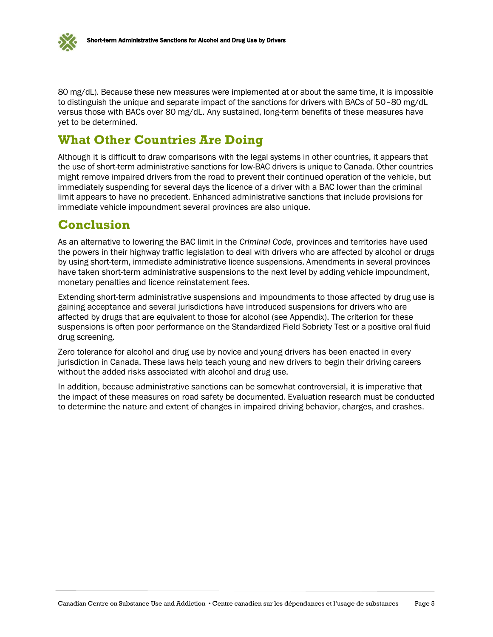

80 mg/dL). Because these new measures were implemented at or about the same time, it is impossible to distinguish the unique and separate impact of the sanctions for drivers with BACs of 50–80 mg/dL versus those with BACs over 80 mg/dL. Any sustained, long-term benefits of these measures have yet to be determined.

### **What Other Countries Are Doing**

Although it is difficult to draw comparisons with the legal systems in other countries, it appears that the use of short-term administrative sanctions for low-BAC drivers is unique to Canada. Other countries might remove impaired drivers from the road to prevent their continued operation of the vehicle, but immediately suspending for several days the licence of a driver with a BAC lower than the criminal limit appears to have no precedent. Enhanced administrative sanctions that include provisions for immediate vehicle impoundment several provinces are also unique.

### **Conclusion**

As an alternative to lowering the BAC limit in the *Criminal Code*, provinces and territories have used the powers in their highway traffic legislation to deal with drivers who are affected by alcohol or drugs by using short-term, immediate administrative licence suspensions. Amendments in several provinces have taken short-term administrative suspensions to the next level by adding vehicle impoundment, monetary penalties and licence reinstatement fees.

Extending short-term administrative suspensions and impoundments to those affected by drug use is gaining acceptance and several jurisdictions have introduced suspensions for drivers who are affected by drugs that are equivalent to those for alcohol (see Appendix). The criterion for these suspensions is often poor performance on the Standardized Field Sobriety Test or a positive oral fluid drug screening.

Zero tolerance for alcohol and drug use by novice and young drivers has been enacted in every jurisdiction in Canada. These laws help teach young and new drivers to begin their driving careers without the added risks associated with alcohol and drug use.

In addition, because administrative sanctions can be somewhat controversial, it is imperative that the impact of these measures on road safety be documented. Evaluation research must be conducted to determine the nature and extent of changes in impaired driving behavior, charges, and crashes.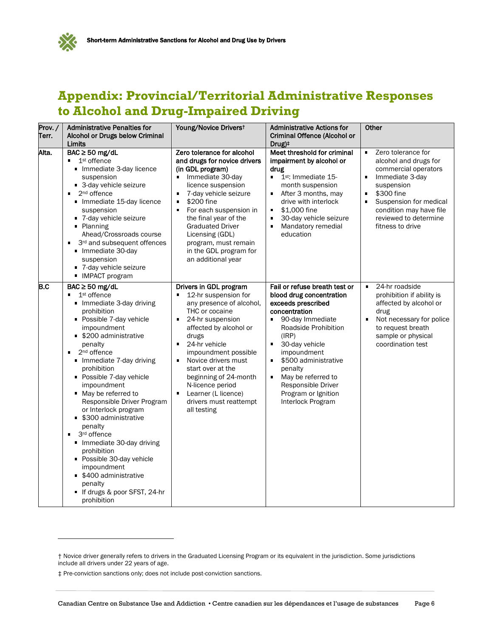

## **Appendix: Provincial/Territorial Administrative Responses to Alcohol and Drug-Impaired Driving**

| Prov./<br>Terr. | <b>Administrative Penalties for</b><br>Alcohol or Drugs below Criminal<br>Limits                                                                                                                                                                                                                                                                                                                                                                                                                                                                                                                                    | Young/Novice Driverst                                                                                                                                                                                                                                                                                                                                                                     | <b>Administrative Actions for</b><br><b>Criminal Offence (Alcohol or</b><br>Drug) <sup>‡</sup>                                                                                                                                                                                                                                                             | Other                                                                                                                                                                                                                                                                           |
|-----------------|---------------------------------------------------------------------------------------------------------------------------------------------------------------------------------------------------------------------------------------------------------------------------------------------------------------------------------------------------------------------------------------------------------------------------------------------------------------------------------------------------------------------------------------------------------------------------------------------------------------------|-------------------------------------------------------------------------------------------------------------------------------------------------------------------------------------------------------------------------------------------------------------------------------------------------------------------------------------------------------------------------------------------|------------------------------------------------------------------------------------------------------------------------------------------------------------------------------------------------------------------------------------------------------------------------------------------------------------------------------------------------------------|---------------------------------------------------------------------------------------------------------------------------------------------------------------------------------------------------------------------------------------------------------------------------------|
| Alta.           | $BAC \ge 50$ mg/dL<br>1 <sup>st</sup> offence<br>$\blacksquare$<br>Immediate 3-day licence<br>suspension<br>■ 3-day vehicle seizure<br>2 <sup>nd</sup> offence<br>Immediate 15-day licence<br>suspension<br>" 7-day vehicle seizure<br>• Planning<br>Ahead/Crossroads course<br>3rd and subsequent offences<br>Immediate 30-day<br>suspension<br>■ 7-day vehicle seizure<br>• IMPACT program                                                                                                                                                                                                                        | Zero tolerance for alcohol<br>and drugs for novice drivers<br>(in GDL program)<br>Immediate 30-day<br>٠<br>licence suspension<br>7-day vehicle seizure<br>\$200 fine<br>$\blacksquare$<br>For each suspension in<br>the final year of the<br><b>Graduated Driver</b><br>Licensing (GDL)<br>program, must remain<br>in the GDL program for<br>an additional year                           | Meet threshold for criminal<br>impairment by alcohol or<br>drug<br>1 <sup>st</sup> : Immediate 15-<br>٠<br>month suspension<br>After 3 months, may<br>٠<br>drive with interlock<br>\$1,000 fine<br>Ξ<br>30-day vehicle seizure<br>٠<br>Mandatory remedial<br>$\blacksquare$<br>education                                                                   | Zero tolerance for<br>$\blacksquare$<br>alcohol and drugs for<br>commercial operators<br>$\blacksquare$<br>Immediate 3-day<br>suspension<br>\$300 fine<br>٠<br>$\blacksquare$<br>Suspension for medical<br>condition may have file<br>reviewed to determine<br>fitness to drive |
| B.C             | $BAC \ge 50$ mg/dL<br>٠<br>1 <sup>st</sup> offence<br>Immediate 3-day driving<br>prohibition<br>• Possible 7-day vehicle<br>impoundment<br>• \$200 administrative<br>penalty<br>٠.<br>2 <sup>nd</sup> offence<br>Immediate 7-day driving<br>prohibition<br>• Possible 7-day vehicle<br>impoundment<br>• May be referred to<br>Responsible Driver Program<br>or Interlock program<br>• \$300 administrative<br>penalty<br>3rd offence<br>٠<br>Immediate 30-day driving<br>prohibition<br>• Possible 30-day vehicle<br>impoundment<br>• \$400 administrative<br>penalty<br>If drugs & poor SFST, 24-hr<br>prohibition | Drivers in GDL program<br>12-hr suspension for<br>any presence of alcohol,<br>THC or cocaine<br>24-hr suspension<br>$\blacksquare$<br>affected by alcohol or<br>drugs<br>24-hr vehicle<br>impoundment possible<br>Novice drivers must<br>$\blacksquare$<br>start over at the<br>beginning of 24-month<br>N-licence period<br>Learner (L licence)<br>drivers must reattempt<br>all testing | Fail or refuse breath test or<br>blood drug concentration<br>exceeds prescribed<br>concentration<br>90-day Immediate<br>Roadside Prohibition<br>(IRP)<br>30-day vehicle<br>٠<br>impoundment<br>\$500 administrative<br>$\blacksquare$<br>penalty<br>May be referred to<br>$\blacksquare$<br>Responsible Driver<br>Program or Ignition<br>Interlock Program | 24-hr roadside<br>$\blacksquare$<br>prohibition if ability is<br>affected by alcohol or<br>drug<br>Not necessary for police<br>$\blacksquare$<br>to request breath<br>sample or physical<br>coordination test                                                                   |

‡ Pre-conviction sanctions only; does not include post-conviction sanctions.

<sup>†</sup> Novice driver generally refers to drivers in the Graduated Licensing Program or its equivalent in the jurisdiction. Some jurisdictions include all drivers under 22 years of age.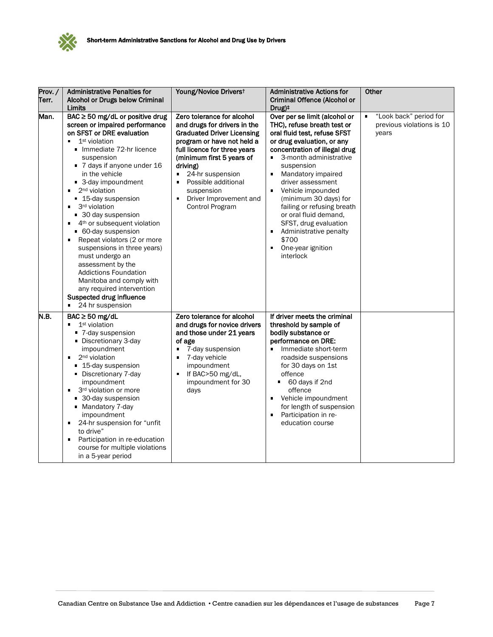

| Prov./<br>Terr. | <b>Administrative Penalties for</b><br>Alcohol or Drugs below Criminal<br>Limits                                                                                                                                                                                                                                                                                                                                                                                                                                                                                                                                                                                                                                                  | Young/Novice Driverst                                                                                                                                                                                                                                                                                                                            | <b>Administrative Actions for</b><br>Criminal Offence (Alcohol or<br>Drug) <sup>+</sup>                                                                                                                                                                                                                                                                                                                                                                                       | Other                                                             |
|-----------------|-----------------------------------------------------------------------------------------------------------------------------------------------------------------------------------------------------------------------------------------------------------------------------------------------------------------------------------------------------------------------------------------------------------------------------------------------------------------------------------------------------------------------------------------------------------------------------------------------------------------------------------------------------------------------------------------------------------------------------------|--------------------------------------------------------------------------------------------------------------------------------------------------------------------------------------------------------------------------------------------------------------------------------------------------------------------------------------------------|-------------------------------------------------------------------------------------------------------------------------------------------------------------------------------------------------------------------------------------------------------------------------------------------------------------------------------------------------------------------------------------------------------------------------------------------------------------------------------|-------------------------------------------------------------------|
| Man.            | $BAC \ge 50$ mg/dL or positive drug<br>screen or impaired performance<br>on SFST or DRE evaluation<br>1 <sup>st</sup> violation<br>٠<br>Immediate 72-hr licence<br>suspension<br>■ 7 days if anyone under 16<br>in the vehicle<br>■ 3-day impoundment<br>2 <sup>nd</sup> violation<br>٠<br>■ 15-day suspension<br>3 <sup>rd</sup> violation<br>٠<br>■ 30 day suspension<br>4 <sup>th</sup> or subsequent violation<br>٠<br>• 60-day suspension<br>Repeat violators (2 or more<br>$\blacksquare$<br>suspensions in three years)<br>must undergo an<br>assessment by the<br><b>Addictions Foundation</b><br>Manitoba and comply with<br>any required intervention<br>Suspected drug influence<br>24 hr suspension<br>$\blacksquare$ | Zero tolerance for alcohol<br>and drugs for drivers in the<br><b>Graduated Driver Licensing</b><br>program or have not held a<br>full licence for three years<br>(minimum first 5 years of<br>driving)<br>24-hr suspension<br>$\blacksquare$<br>Possible additional<br>$\blacksquare$<br>suspension<br>Driver Improvement and<br>Control Program | Over per se limit (alcohol or<br>THC), refuse breath test or<br>oral fluid test, refuse SFST<br>or drug evaluation, or any<br>concentration of illegal drug<br>3-month administrative<br>$\blacksquare$<br>suspension<br>Mandatory impaired<br>٠<br>driver assessment<br>Vehicle impounded<br>٠<br>(minimum 30 days) for<br>failing or refusing breath<br>or oral fluid demand,<br>SFST, drug evaluation<br>Administrative penalty<br>\$700<br>One-year ignition<br>interlock | "Look back" period for<br>٠<br>previous violations is 10<br>years |
| N.B.            | $BAC \ge 50$ mg/dL<br>1 <sup>st</sup> violation<br>$\blacksquare$<br>■ 7-day suspension<br>• Discretionary 3-day<br>impoundment<br>2 <sup>nd</sup> violation<br>$\blacksquare$<br>■ 15-day suspension<br>• Discretionary 7-day<br>impoundment<br>3rd violation or more<br>$\blacksquare$<br>■ 30-day suspension<br>• Mandatory 7-day<br>impoundment<br>24-hr suspension for "unfit<br>$\blacksquare$<br>to drive"<br>Participation in re-education<br>Е<br>course for multiple violations<br>in a 5-year period                                                                                                                                                                                                                   | Zero tolerance for alcohol<br>and drugs for novice drivers<br>and those under 21 years<br>of age<br>7-day suspension<br>$\blacksquare$<br>7-day vehicle<br>$\blacksquare$<br>impoundment<br>If BAC>50 mg/dL,<br>Ξ<br>impoundment for 30<br>days                                                                                                  | If driver meets the criminal<br>threshold by sample of<br>bodily substance or<br>performance on DRE:<br>Immediate short-term<br>$\blacksquare$<br>roadside suspensions<br>for 30 days on 1st<br>offence<br>60 days if 2nd<br>٠<br>offence<br>Vehicle impoundment<br>for length of suspension<br>Participation in re-<br>٠<br>education course                                                                                                                                 |                                                                   |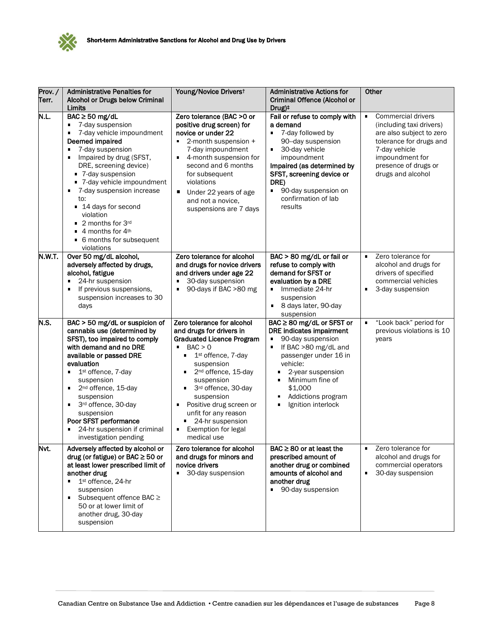

| Prov./<br>Terr. | <b>Administrative Penalties for</b><br>Alcohol or Drugs below Criminal<br>Limits                                                                                                                                                                                                                                                                                                                                                     | Young/Novice Driverst                                                                                                                                                                                                                                                                                                                                                                | <b>Administrative Actions for</b><br>Criminal Offence (Alcohol or<br>Drug) <sup>+</sup>                                                                                                                                                                            | Other                                                                                                                                                                                                           |
|-----------------|--------------------------------------------------------------------------------------------------------------------------------------------------------------------------------------------------------------------------------------------------------------------------------------------------------------------------------------------------------------------------------------------------------------------------------------|--------------------------------------------------------------------------------------------------------------------------------------------------------------------------------------------------------------------------------------------------------------------------------------------------------------------------------------------------------------------------------------|--------------------------------------------------------------------------------------------------------------------------------------------------------------------------------------------------------------------------------------------------------------------|-----------------------------------------------------------------------------------------------------------------------------------------------------------------------------------------------------------------|
| N.L.            | $BAC \ge 50$ mg/dL<br>7-day suspension<br>٠<br>7-day vehicle impoundment<br>Deemed impaired<br>7-day suspension<br>$\blacksquare$<br>Impaired by drug (SFST,<br>DRE, screening device)<br>■ 7-day suspension<br>■ 7-day vehicle impoundment<br>7-day suspension increase<br>to:<br>■ 14 days for second<br>violation<br>■ 2 months for 3rd<br>$\blacksquare$ 4 months for 4 <sup>th</sup><br>• 6 months for subsequent<br>violations | Zero tolerance (BAC > 0 or<br>positive drug screen) for<br>novice or under 22<br>2-month suspension +<br>$\blacksquare$<br>7-day impoundment<br>4-month suspension for<br>second and 6 months<br>for subsequent<br>violations<br>٠<br>Under 22 years of age<br>and not a novice,<br>suspensions are 7 days                                                                           | Fail or refuse to comply with<br>a demand<br>■ 7-day followed by<br>90-day suspension<br>30-day vehicle<br>٠<br>impoundment<br>Impaired (as determined by<br>SFST, screening device or<br>DRE)<br>90-day suspension on<br>confirmation of lab<br>results           | <b>Commercial drivers</b><br>$\blacksquare$<br>(including taxi drivers)<br>are also subject to zero<br>tolerance for drugs and<br>7-day vehicle<br>impoundment for<br>presence of drugs or<br>drugs and alcohol |
| N.W.T.          | Over 50 mg/dL alcohol,<br>adversely affected by drugs,<br>alcohol, fatigue<br>24-hr suspension<br>٠<br>If previous suspensions,<br>suspension increases to 30<br>days                                                                                                                                                                                                                                                                | Zero tolerance for alcohol<br>and drugs for novice drivers<br>and drivers under age 22<br>30-day suspension<br>90-days if BAC >80 mg                                                                                                                                                                                                                                                 | BAC > 80 mg/dL or fail or<br>refuse to comply with<br>demand for SFST or<br>evaluation by a DRE<br>Immediate 24-hr<br>٠<br>suspension<br>8 days later, 90-day<br>٠<br>suspension                                                                                   | Zero tolerance for<br>$\blacksquare$<br>alcohol and drugs for<br>drivers of specified<br>commercial vehicles<br>3-day suspension                                                                                |
| N.S.            | BAC > 50 mg/dL or suspicion of<br>cannabis use (determined by<br>SFST), too impaired to comply<br>with demand and no DRE<br>available or passed DRE<br>evaluation<br>1st offence, 7-day<br>$\blacksquare$<br>suspension<br>2 <sup>nd</sup> offence, 15-day<br>٠<br>suspension<br>3rd offence, 30-day<br>٠<br>suspension<br>Poor SFST performance<br>24-hr suspension if criminal<br>investigation pending                            | Zero tolerance for alcohol<br>and drugs for drivers in<br><b>Graduated Licence Program</b><br>BAC > 0<br>$\blacksquare$<br>1 <sup>st</sup> offence, 7-day<br>suspension<br>2 <sup>nd</sup> offence, 15-day<br>suspension<br>3rd offence, 30-day<br>٠<br>suspension<br>Positive drug screen or<br>unfit for any reason<br>24-hr suspension<br>Exemption for legal<br>٠<br>medical use | BAC ≥ 80 mg/dL or SFST or<br>DRE indicates impairment<br>90-day suspension<br>٠<br>If BAC >80 mg/dL and<br>passenger under 16 in<br>vehicle:<br>2-year suspension<br>Minimum fine of<br>٠<br>\$1,000<br>Addictions program<br>Ignition interlock<br>$\blacksquare$ | "Look back" period for<br>٠<br>previous violations is 10<br>years                                                                                                                                               |
| Nvt.            | Adversely affected by alcohol or<br>drug (or fatigue) or BAC $\geq$ 50 or<br>at least lower prescribed limit of<br>another drug<br>1st offence, 24-hr<br>٠<br>suspension<br>Subsequent offence BAC ≥<br>٠<br>50 or at lower limit of<br>another drug, 30-day<br>suspension                                                                                                                                                           | Zero tolerance for alcohol<br>and drugs for minors and<br>novice drivers<br>30-day suspension<br>$\blacksquare$                                                                                                                                                                                                                                                                      | $BAC \geq 80$ or at least the<br>prescribed amount of<br>another drug or combined<br>amounts of alcohol and<br>another drug<br>■ 90-day suspension                                                                                                                 | Zero tolerance for<br>٠<br>alcohol and drugs for<br>commercial operators<br>٠<br>30-day suspension                                                                                                              |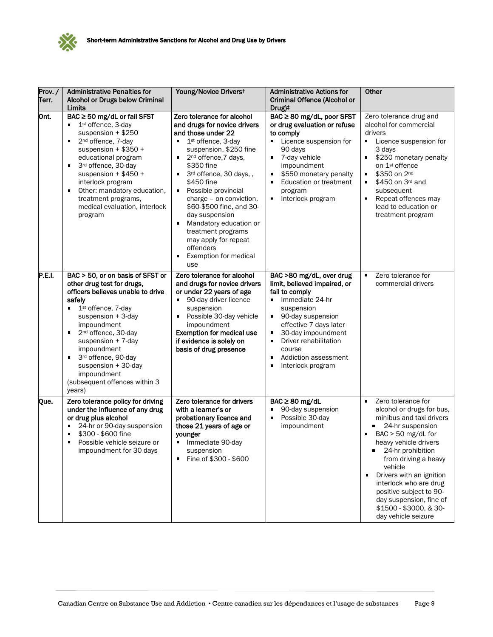

| Prov./<br>Terr. | <b>Administrative Penalties for</b><br>Alcohol or Drugs below Criminal<br>Limits                                                                                                                                                                                                                                                                                                                                   | Young/Novice Driverst                                                                                                                                                                                                                                                                                                                                                                                                                                                                                                                    | <b>Administrative Actions for</b><br>Criminal Offence (Alcohol or<br>Drug) <sup>+</sup>                                                                                                                                                                                         | Other                                                                                                                                                                                                                                                                                                                                                                      |
|-----------------|--------------------------------------------------------------------------------------------------------------------------------------------------------------------------------------------------------------------------------------------------------------------------------------------------------------------------------------------------------------------------------------------------------------------|------------------------------------------------------------------------------------------------------------------------------------------------------------------------------------------------------------------------------------------------------------------------------------------------------------------------------------------------------------------------------------------------------------------------------------------------------------------------------------------------------------------------------------------|---------------------------------------------------------------------------------------------------------------------------------------------------------------------------------------------------------------------------------------------------------------------------------|----------------------------------------------------------------------------------------------------------------------------------------------------------------------------------------------------------------------------------------------------------------------------------------------------------------------------------------------------------------------------|
| Ont.            | BAC ≥ 50 mg/dL or fail SFST<br>1st offence, 3-day<br>٠<br>suspension $+$ \$250<br>2 <sup>nd</sup> offence, 7-day<br>$\blacksquare$<br>suspension + $$350 +$<br>educational program<br>3rd offence, 30-day<br>٠<br>suspension + $$450 +$<br>interlock program<br>Other: mandatory education,<br>п<br>treatment programs,<br>medical evaluation, interlock<br>program                                                | Zero tolerance for alcohol<br>and drugs for novice drivers<br>and those under 22<br>1 <sup>st</sup> offence, 3-day<br>$\blacksquare$<br>suspension, \$250 fine<br>2 <sup>nd</sup> offence, 7 days,<br>\$350 fine<br>3rd offence, 30 days,,<br>$\blacksquare$<br>\$450 fine<br>Possible provincial<br>٠<br>charge - on conviction,<br>\$60-\$500 fine, and 30-<br>day suspension<br>Mandatory education or<br>$\blacksquare$<br>treatment programs<br>may apply for repeat<br>offenders<br>Exemption for medical<br>$\blacksquare$<br>use | BAC ≥ 80 mg/dL, poor SFST<br>or drug evaluation or refuse<br>to comply<br>• Licence suspension for<br>90 days<br>7-day vehicle<br>٠<br>impoundment<br>\$550 monetary penalty<br>٠<br><b>Education or treatment</b><br>٠<br>program<br>Interlock program<br>٠                    | Zero tolerance drug and<br>alcohol for commercial<br>drivers<br>$\blacksquare$<br>Licence suspension for<br>3 days<br>\$250 monetary penalty<br>on 1 <sup>st</sup> offence<br>\$350 on 2 <sup>nd</sup><br>$\blacksquare$<br>\$450 on 3rd and<br>٠<br>subsequent<br>Repeat offences may<br>lead to education or<br>treatment program                                        |
| P.E.I.          | BAC > 50, or on basis of SFST or<br>other drug test for drugs,<br>officers believes unable to drive<br>safely<br>1 <sup>st</sup> offence, 7-day<br>٠<br>suspension $+3$ -day<br>impoundment<br>2 <sup>nd</sup> offence, 30-day<br>$\blacksquare$<br>suspension $+ 7$ -day<br>impoundment<br>3rd offence, 90-day<br>$\blacksquare$<br>suspension + 30-day<br>impoundment<br>(subsequent offences within 3<br>years) | Zero tolerance for alcohol<br>and drugs for novice drivers<br>or under 22 years of age<br>90-day driver licence<br>٠<br>suspension<br>Possible 30-day vehicle<br>impoundment<br><b>Exemption for medical use</b><br>if evidence is solely on<br>basis of drug presence                                                                                                                                                                                                                                                                   | BAC >80 mg/dL, over drug<br>limit, believed impaired, or<br>fail to comply<br>Immediate 24-hr<br>٠<br>suspension<br>90-day suspension<br>effective 7 days later<br>30-day impoundment<br>٠<br>Driver rehabilitation<br>course<br>Addiction assessment<br>٠<br>Interlock program | Zero tolerance for<br>$\blacksquare$<br>commercial drivers                                                                                                                                                                                                                                                                                                                 |
| Que.            | Zero tolerance policy for driving<br>under the influence of any drug<br>or drug plus alcohol<br>24-hr or 90-day suspension<br>٠<br>\$300 - \$600 fine<br>$\blacksquare$<br>Possible vehicle seizure or<br>٠<br>impoundment for 30 days                                                                                                                                                                             | Zero tolerance for drivers<br>with a learner's or<br>probationary licence and<br>those 21 years of age or<br>younger<br>Immediate 90-day<br>suspension<br>Fine of \$300 - \$600<br>$\blacksquare$                                                                                                                                                                                                                                                                                                                                        | $BAC \geq 80$ mg/dL<br>90-day suspension<br>Possible 30-day<br>٠<br>impoundment                                                                                                                                                                                                 | Zero tolerance for<br>٠<br>alcohol or drugs for bus,<br>minibus and taxi drivers<br>24-hr suspension<br>$BAC > 50$ mg/dL for<br>heavy vehicle drivers<br>24-hr prohibition<br>from driving a heavy<br>vehicle<br>Drivers with an ignition<br>interlock who are drug<br>positive subject to 90-<br>day suspension, fine of<br>\$1500 - \$3000, & 30-<br>day vehicle seizure |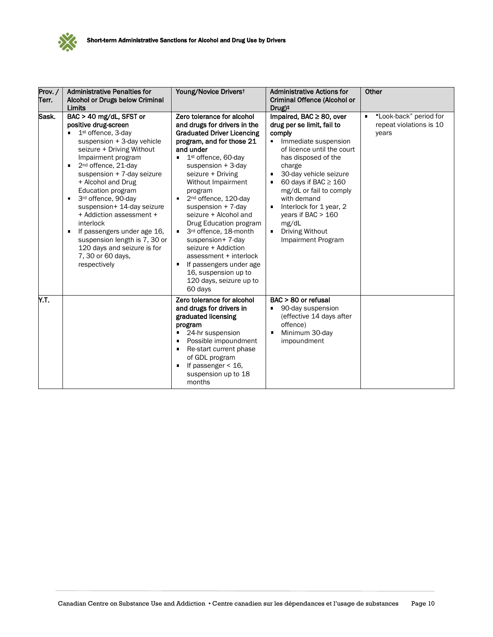

| Prov./<br>Terr. | <b>Administrative Penalties for</b><br>Alcohol or Drugs below Criminal                                                                                                                                                                                                                                                                                                                                                                                                                                                                                              | Young/Novice Driverst                                                                                                                                                                                                                                                                                                                                                                                                                                                                                                                                                   | <b>Administrative Actions for</b><br>Criminal Offence (Alcohol or                                                                                                                                                                                                                                                                                                                                       | Other                                                      |
|-----------------|---------------------------------------------------------------------------------------------------------------------------------------------------------------------------------------------------------------------------------------------------------------------------------------------------------------------------------------------------------------------------------------------------------------------------------------------------------------------------------------------------------------------------------------------------------------------|-------------------------------------------------------------------------------------------------------------------------------------------------------------------------------------------------------------------------------------------------------------------------------------------------------------------------------------------------------------------------------------------------------------------------------------------------------------------------------------------------------------------------------------------------------------------------|---------------------------------------------------------------------------------------------------------------------------------------------------------------------------------------------------------------------------------------------------------------------------------------------------------------------------------------------------------------------------------------------------------|------------------------------------------------------------|
| Sask.           | Limits<br>BAC > 40 mg/dL, SFST or<br>positive drug-screen<br>1 <sup>st</sup> offence, 3-day<br>suspension + 3-day vehicle<br>seizure + Driving Without<br>Impairment program<br>2 <sup>nd</sup> offence, 21-day<br>$\blacksquare$<br>suspension + 7-day seizure<br>+ Alcohol and Drug<br>Education program<br>3rd offence, 90-day<br>$\blacksquare$<br>suspension+ 14-day seizure<br>+ Addiction assessment +<br>interlock<br>If passengers under age 16,<br>٠<br>suspension length is 7, 30 or<br>120 days and seizure is for<br>7, 30 or 60 days,<br>respectively | Zero tolerance for alcohol<br>and drugs for drivers in the<br><b>Graduated Driver Licencing</b><br>program, and for those 21<br>and under<br>1 <sup>st</sup> offence, 60-day<br>suspension $+3$ -day<br>seizure + Driving<br>Without Impairment<br>program<br>2 <sup>nd</sup> offence, 120-day<br>suspension $+ 7$ -day<br>seizure + Alcohol and<br>Drug Education program<br>3rd offence, 18-month<br>٠<br>suspension+ 7-day<br>seizure + Addiction<br>assessment + interlock<br>If passengers under age<br>16, suspension up to<br>120 days, seizure up to<br>60 days | Drug) <sup>+</sup><br>Impaired, BAC ≥ 80, over<br>drug per se limit, fail to<br>comply<br>Immediate suspension<br>٠<br>of licence until the court<br>has disposed of the<br>charge<br>30-day vehicle seizure<br>٠<br>60 days if BAC $\geq$ 160<br>mg/dL or fail to comply<br>with demand<br>Interlock for 1 year, 2<br>٠<br>years if BAC $> 160$<br>mg/dL<br>Driving Without<br>٠<br>Impairment Program | "Look-back" period for<br>repeat violations is 10<br>years |
| Y.T.            |                                                                                                                                                                                                                                                                                                                                                                                                                                                                                                                                                                     | Zero tolerance for alcohol<br>and drugs for drivers in<br>graduated licensing<br>program<br>24-hr suspension<br>Possible impoundment<br>Re-start current phase<br>٠<br>of GDL program<br>If passenger < 16,<br>٠<br>suspension up to 18<br>months                                                                                                                                                                                                                                                                                                                       | BAC > 80 or refusal<br>90-day suspension<br>(effective 14 days after<br>offence)<br>Minimum 30-day<br>$\blacksquare$<br>impoundment                                                                                                                                                                                                                                                                     |                                                            |